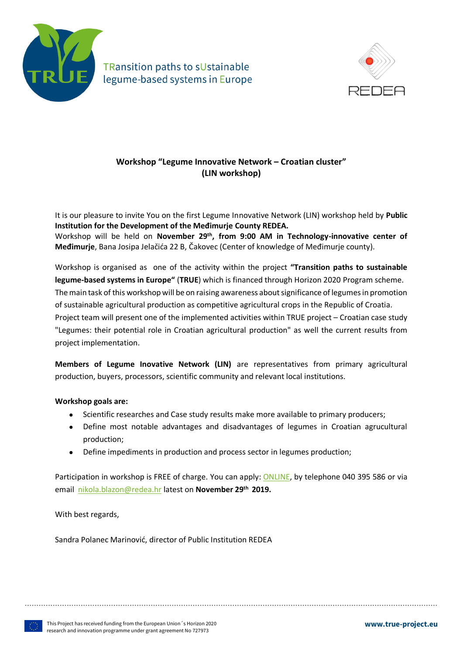

TRansition paths to sUstainable legume-based systems in Europe



## **Workshop "Legume Innovative Network – Croatian cluster" (LIN workshop)**

It is our pleasure to invite You on the first Legume Innovative Network (LIN) workshop held by **Public Institution for the Development of the Međimurje County REDEA.** Workshop will be held on **November 29th, from 9:00 AM in Technology-innovative center of** 

**Međimurje**, Bana Josipa Jelačića 22 B, Čakovec (Center of knowledge of Međimurje county).

Workshop is organised as one of the activity within the project **"Transition paths to sustainable legume-based systems in Europe"** (**TRUE**) which is financed through Horizon 2020 Program scheme. The main task of this workshop will be on raising awareness about significance of legumes in promotion of sustainable agricultural production as competitive agricultural crops in the Republic of Croatia. Project team will present one of the implemented activities within TRUE project – Croatian case study "Legumes: their potential role in Croatian agricultural production" as well the current results from project implementation.

**Members of Legume Inovative Network (LIN)** are representatives from primary agricultural production, buyers, processors, scientific community and relevant local institutions.

## **Workshop goals are:**

- Scientific researches and Case study results make more available to primary producers;
- Define most notable advantages and disadvantages of legumes in Croatian agrucultural production;
- Define impediments in production and process sector in legumes production;

Participation in workshop is FREE of charge. You can apply: [ONLINE,](https://docs.google.com/forms/d/1fsotkp3fqQvAngYgU_qyV1NMadrQCfQh8blys9Zt2fM/viewform?edit_requested=true) by telephone 040 395 586 or via email [nikola.blazon@redea.hr](mailto:nikola.blazon@redea.hr) latest on **November 29th 2019.**

With best regards,

Sandra Polanec Marinović, director of Public Institution REDEA